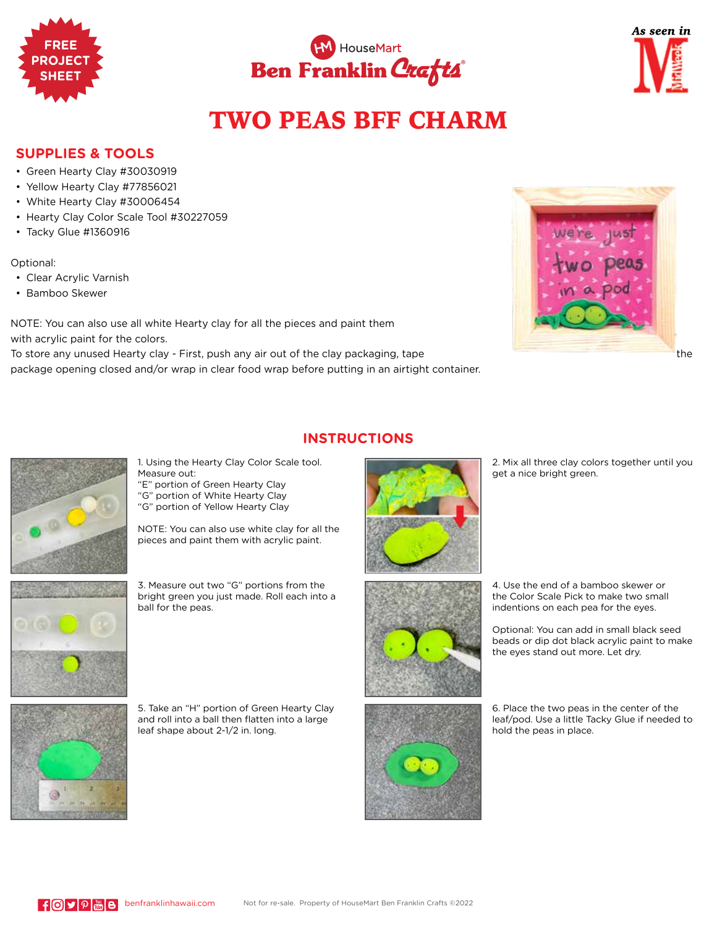





## TWO PEAS BFF CHARM

**INSTRUCTIONS**

## **SUPPLIES & TOOLS**

- Green Hearty Clay #30030919
- Yellow Hearty Clay #77856021
- White Hearty Clay #30006454
- Hearty Clay Color Scale Tool #30227059
- Tacky Glue #1360916

Optional:

- Clear Acrylic Varnish
- Bamboo Skewer

NOTE: You can also use all white Hearty clay for all the pieces and paint them with acrylic paint for the colors.

To store any unused Hearty clay - First, push any air out of the clay packaging, tape the the clay packaging of the clay packaging, tape package opening closed and/or wrap in clear food wrap before putting in an airtight container.





1. Using the Hearty Clay Color Scale tool. Measure out:"E" portion of Green Hearty Clay

"G" portion of White Hearty Clay

"G" portion of Yellow Hearty Clay

NOTE: You can also use white clay for all the pieces and paint them with acrylic paint.



3. Measure out two "G" portions from the bright green you just made. Roll each into a ball for the peas.

5. Take an "H" portion of Green Hearty Clay and roll into a ball then flatten into a large leaf shape about 2-1/2 in. long.



2. Mix all three clay colors together until you get a nice bright green.



4. Use the end of a bamboo skewer or the Color Scale Pick to make two small indentions on each pea for the eyes.

Optional: You can add in small black seed beads or dip dot black acrylic paint to make the eyes stand out more. Let dry.



6. Place the two peas in the center of the leaf/pod. Use a little Tacky Glue if needed to hold the peas in place.